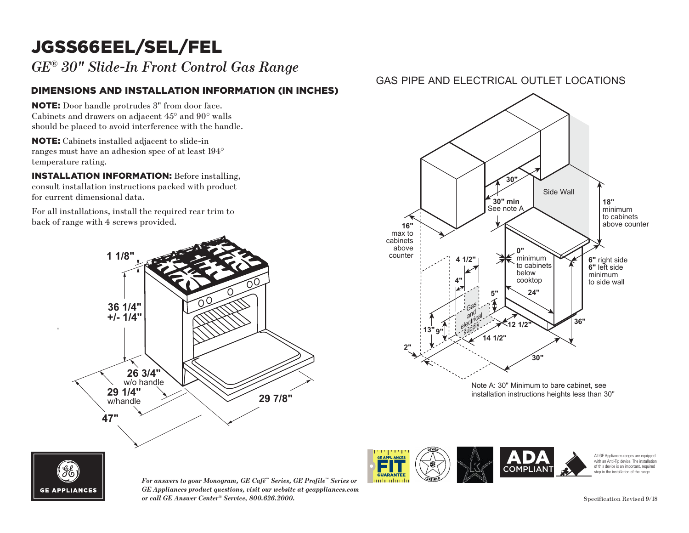# JGSS66EEL/SEL/FEL

*GE® 30" Slide-In Front Control Gas Range*

### DIMENSIONS AND INSTALLATION INFORMATION (IN INCHES)

NOTE: Door handle protrudes 3" from door face. Cabinets and drawers on adjacent 45° and 90° walls should be placed to avoid interference with the handle.

NOTE: Cabinets installed adjacent to slide-in **18"** ranges must have an adhesion spec of at least 194<sup>°</sup> temperature rating. ges must l

INSTALLATION INFORMATION: Before installing, consult installation instructions packed with product for current dimensional data.

For all installations, install the required rear trim to back of range with 4 screws provided. For all i



### GAS PIPE AND ELECTRICAL OUTLET LOCATIONS





installation instructions heights less than 30"

*For answers to your Monogram, GE Café™ Series, GE Profile™ Series or GE Appliances product questions, visit our website at geappliances.com or call GE Answer Center® Service, 800.626.2000.* Specification Revised 9/18



All GE Appliances ranges are equipped with an Anti-Tip device. The installation of this device is an important, required step in the installation of the range.